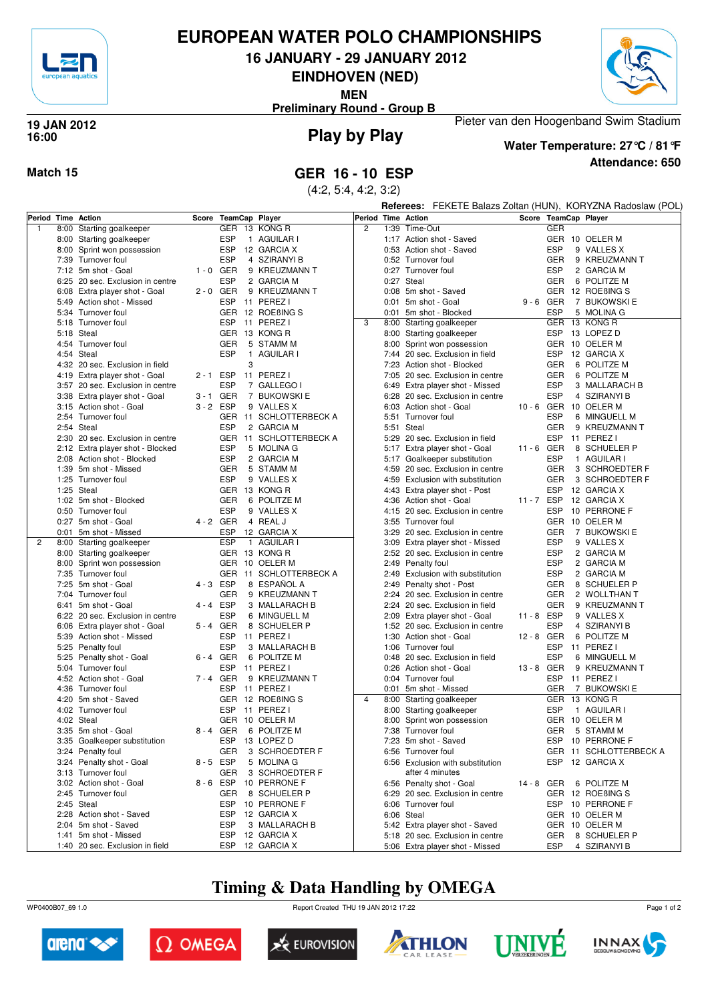

# **EUROPEAN WATER POLO CHAMPIONSHIPS**

**16 JANUARY - 29 JANUARY 2012**

**EINDHOVEN (NED)**

**MEN**

**Preliminary Round - Group B**



### **Play by Play 19 JAN 2012 16:00**



### **Attendance: 650 Water Temperature: 27°C / 81°F**

Pieter van den Hoogenband Swim Stadium

**Match 15 GER 16 - 10 ESP**

(4:2, 5:4, 4:2, 3:2)

**Referees:** FEKETE Balazs Zoltan (HUN), KORYZNA Radoslaw (POL)

| Period Time Action |      |                                  |             | Score TeamCap Player |                    | Period Time Action |      |                                  |            | Score TeamCap Player         |
|--------------------|------|----------------------------------|-------------|----------------------|--------------------|--------------------|------|----------------------------------|------------|------------------------------|
| $\mathbf{1}$       | 8:00 | Starting goalkeeper              |             |                      | GER 13 KONG R      | $\overline{c}$     |      | 1:39 Time-Out                    |            | <b>GER</b>                   |
|                    | 8:00 | Starting goalkeeper              |             | <b>ESP</b>           | 1 AGUILAR I        |                    |      | 1:17 Action shot - Saved         |            | GER 10 OELER M               |
|                    | 8:00 | Sprint won possession            |             | <b>ESP</b>           | 12 GARCIA X        |                    |      | 0:53 Action shot - Saved         |            | <b>ESP</b><br>9 VALLES X     |
|                    |      | 7:39 Turnover foul               |             | <b>ESP</b>           | 4 SZIRANYI B       |                    |      | 0:52 Turnover foul               |            | GER<br>9 KREUZMANN T         |
|                    |      | 7:12 5m shot - Goal              | $1 - 0$ GER |                      | 9 KREUZMANN T      |                    |      | 0:27 Turnover foul               |            | <b>ESP</b><br>2 GARCIA M     |
|                    |      | 6:25 20 sec. Exclusion in centre |             | <b>ESP</b>           | 2 GARCIA M         |                    |      | 0:27 Steal                       |            | <b>GER</b><br>6 POLITZE M    |
|                    |      | 6:08 Extra player shot - Goal    | $2 - 0$ GER |                      | 9 KREUZMANN T      |                    |      | 0:08 5m shot - Saved             |            | GER 12 ROEBING S             |
|                    | 5:49 | Action shot - Missed             |             | <b>ESP</b>           | 11 PEREZ I         |                    |      | 0:01 5m shot - Goal              | 9-6 GER    | 7 BUKOWSKI E                 |
|                    | 5:34 | Turnover foul                    |             |                      | GER 12 ROEBING S   |                    |      | 0:01 5m shot - Blocked           |            | <b>ESP</b><br>5 MOLINA G     |
|                    |      | 5:18 Turnover foul               |             | ESP                  | 11 PEREZ I         | 3                  |      | 8:00 Starting goalkeeper         |            | GER 13 KONG R                |
|                    |      | 5:18 Steal                       |             |                      | GER 13 KONG R      |                    |      |                                  |            | ESP<br>13 LOPEZ D            |
|                    |      | 4:54 Turnover foul               |             | <b>GER</b>           | 5 STAMM M          |                    |      | 8:00 Starting goalkeeper         |            | GER 10 OELER M               |
|                    |      |                                  |             |                      |                    |                    |      | 8:00 Sprint won possession       |            |                              |
|                    |      | 4:54 Steal                       |             | <b>ESP</b>           | 1 AGUILAR I        |                    |      | 7:44 20 sec. Exclusion in field  |            | <b>ESP</b><br>12 GARCIA X    |
|                    |      | 4:32 20 sec. Exclusion in field  |             | 3                    |                    |                    | 7:23 | Action shot - Blocked            |            | GER<br>6 POLITZE M           |
|                    |      | 4:19 Extra player shot - Goal    | 2-1 ESP     |                      | 11 PEREZ I         |                    | 7:05 | 20 sec. Exclusion in centre      |            | GER<br>6 POLITZE M           |
|                    |      | 3:57 20 sec. Exclusion in centre |             | <b>ESP</b>           | 7 GALLEGO I        |                    | 6:49 | Extra player shot - Missed       |            | <b>ESP</b><br>3 MALLARACH B  |
|                    |      | 3:38 Extra player shot - Goal    | 3-1 GER     |                      | 7 BUKOWSKI E       |                    | 6:28 | 20 sec. Exclusion in centre      |            | <b>ESP</b><br>4 SZIRANYI B   |
|                    |      | 3:15 Action shot - Goal          | 3-2 ESP     |                      | 9 VALLES X         |                    |      | 6:03 Action shot - Goal          | $10 - 6$   | GER 10 OELER M               |
|                    |      | 2:54 Turnover foul               |             | <b>GER</b>           | 11 SCHLOTTERBECK A |                    |      | 5:51 Turnover foul               |            | <b>ESP</b><br>6 MINGUELL M   |
|                    |      | 2:54 Steal                       |             | <b>ESP</b>           | 2 GARCIA M         |                    |      | 5:51 Steal                       |            | GER<br>9 KREUZMANN T         |
|                    |      | 2:30 20 sec. Exclusion in centre |             | GER                  | 11 SCHLOTTERBECK A |                    |      | 5:29 20 sec. Exclusion in field  |            | ESP<br>11 PEREZ I            |
|                    |      | 2:12 Extra player shot - Blocked |             | <b>ESP</b>           | 5 MOLINA G         |                    |      | 5:17 Extra player shot - Goal    | 11 - 6 GER | 8 SCHUELER P                 |
|                    |      | 2:08 Action shot - Blocked       |             | <b>ESP</b>           | 2 GARCIA M         |                    |      | 5:17 Goalkeeper substitution     |            | <b>ESP</b><br>1 AGUILAR I    |
|                    |      | 1:39 5m shot - Missed            |             | <b>GER</b>           | 5 STAMM M          |                    | 4:59 | 20 sec. Exclusion in centre      |            | <b>GER</b><br>3 SCHROEDTER F |
|                    |      | 1:25 Turnover foul               |             | <b>ESP</b>           | 9 VALLES X         |                    |      | 4:59 Exclusion with substitution |            | <b>GER</b><br>3 SCHROEDTER F |
|                    |      | 1:25 Steal                       |             |                      | GER 13 KONG R      |                    | 4:43 | Extra player shot - Post         |            | ESP<br>12 GARCIA X           |
|                    |      | 1:02 5m shot - Blocked           |             | <b>GER</b>           | 6 POLITZE M        |                    | 4:36 | Action shot - Goal               | 11 - 7 ESP | 12 GARCIA X                  |
|                    |      | 0:50 Turnover foul               |             | <b>ESP</b>           | 9 VALLES X         |                    | 4:15 | 20 sec. Exclusion in centre      |            | ESP<br>10 PERRONE F          |
|                    |      | 0:27 5m shot - Goal              | 4 - 2 GER   |                      | 4 REAL J           |                    |      | 3:55 Turnover foul               |            | GER 10 OELER M               |
|                    | 0:01 | 5m shot - Missed                 |             | <b>ESP</b>           | 12 GARCIA X        |                    | 3:29 | 20 sec. Exclusion in centre      |            | <b>GER</b><br>7 BUKOWSKI E   |
| $\overline{2}$     | 8:00 | Starting goalkeeper              |             | <b>ESP</b>           | 1 AGUILAR I        |                    | 3:09 | Extra player shot - Missed       |            | <b>ESP</b><br>9 VALLES X     |
|                    | 8:00 | Starting goalkeeper              |             | <b>GER</b>           | 13 KONG R          |                    |      | 2:52 20 sec. Exclusion in centre |            | <b>ESP</b><br>2 GARCIA M     |
|                    | 8:00 | Sprint won possession            |             | <b>GER</b>           | 10 OELER M         |                    |      | 2:49 Penalty foul                |            | <b>ESP</b><br>2 GARCIA M     |
|                    |      | 7:35 Turnover foul               |             | <b>GER</b>           | 11 SCHLOTTERBECK A |                    |      | 2:49 Exclusion with substitution |            | <b>ESP</b><br>2 GARCIA M     |
|                    | 7:25 | 5m shot - Goal                   | 4-3 ESP     |                      | 8 ESPAÑOL A        |                    | 2:49 | Penalty shot - Post              |            | GER<br>8 SCHUELER P          |
|                    |      | 7:04 Turnover foul               |             | <b>GER</b>           | 9 KREUZMANN T      |                    |      | 2:24 20 sec. Exclusion in centre |            | GER<br>2 WOLLTHAN T          |
|                    | 6:41 | 5m shot - Goal                   | 4 - 4 ESP   |                      | 3 MALLARACH B      |                    |      | 2:24 20 sec. Exclusion in field  |            | <b>GER</b><br>9 KREUZMANN T  |
|                    |      | 6:22 20 sec. Exclusion in centre |             | <b>ESP</b>           | 6 MINGUELL M       |                    | 2:09 | Extra player shot - Goal         | 11-8 ESP   | 9 VALLES X                   |
|                    | 6:06 | Extra player shot - Goal         | 5-4 GER     |                      | 8 SCHUELER P       |                    | 1:52 | 20 sec. Exclusion in centre      |            | <b>ESP</b><br>4 SZIRANYI B   |
|                    |      | 5:39 Action shot - Missed        |             | <b>ESP</b>           | 11 PEREZ I         |                    |      | 1:30 Action shot - Goal          | 12 - 8 GER | 6 POLITZE M                  |
|                    |      | 5:25 Penalty foul                |             | <b>ESP</b>           | 3 MALLARACH B      |                    | 1:06 | Turnover foul                    |            | ESP<br>11 PEREZ I            |
|                    |      | 5:25 Penalty shot - Goal         | 6-4 GER     |                      | 6 POLITZE M        |                    |      | 0:48 20 sec. Exclusion in field  |            | <b>ESP</b><br>6 MINGUELL M   |
|                    |      | 5:04 Turnover foul               |             | <b>ESP</b>           | 11 PEREZ I         |                    | 0:26 | Action shot - Goal               | 13-8 GER   | 9 KREUZMANN T                |
|                    |      | 4:52 Action shot - Goal          | 7-4 GER     |                      | 9 KREUZMANN T      |                    |      | 0:04 Turnover foul               |            | <b>ESP</b><br>11 PEREZ I     |
|                    |      | 4:36 Turnover foul               |             | <b>ESP</b>           | 11 PEREZ I         |                    |      | 0:01 5m shot - Missed            |            | 7 BUKOWSKI E<br>GER          |
|                    |      |                                  |             |                      |                    | $\overline{4}$     |      |                                  |            |                              |
|                    |      | 4:20 5m shot - Saved             |             | GER                  | 12 ROEBING S       |                    |      | 8:00 Starting goalkeeper         |            | GER<br>13 KONG R             |
|                    |      | 4:02 Turnover foul               |             | <b>ESP</b>           | 11 PEREZ I         |                    |      | 8:00 Starting goalkeeper         |            | <b>ESP</b><br>1 AGUILAR I    |
|                    |      | 4:02 Steal                       |             | <b>GER</b>           | 10 OELER M         |                    |      | 8:00 Sprint won possession       |            | GER 10 OELER M               |
|                    |      | 3:35 5m shot - Goal              | 8-4 GER     |                      | 6 POLITZE M        |                    |      | 7:38 Turnover foul               |            | GER<br>5 STAMM M             |
|                    |      | 3:35 Goalkeeper substitution     |             | <b>ESP</b>           | 13 LOPEZ D         |                    |      | 7:23 5m shot - Saved             |            | ESP<br>10 PERRONE F          |
|                    |      | 3:24 Penalty foul                |             | <b>GER</b>           | 3 SCHROEDTER F     |                    |      | 6:56 Turnover foul               |            | GER 11 SCHLOTTERBECK A       |
|                    |      | 3:24 Penalty shot - Goal         | 8-5 ESP     |                      | 5 MOLINA G         |                    |      | 6:56 Exclusion with substitution |            | ESP 12 GARCIA X              |
|                    |      | 3:13 Turnover foul               |             | GER                  | 3 SCHROEDTER F     |                    |      | after 4 minutes                  |            |                              |
|                    |      | 3:02 Action shot - Goal          | 8-6 ESP     |                      | 10 PERRONE F       |                    |      | 6:56 Penalty shot - Goal         | 14 - 8 GER | 6 POLITZE M                  |
|                    |      | 2:45 Turnover foul               |             | GER                  | 8 SCHUELER P       |                    |      | 6:29 20 sec. Exclusion in centre |            | GER 12 ROEBING S             |
|                    |      | 2:45 Steal                       |             |                      | ESP 10 PERRONE F   |                    |      | 6:06 Turnover foul               |            | ESP 10 PERRONE F             |
|                    |      | 2:28 Action shot - Saved         |             | ESP                  | 12 GARCIA X        |                    |      | 6:06 Steal                       |            | GER 10 OELER M               |
|                    |      | 2:04 5m shot - Saved             |             | <b>ESP</b>           | 3 MALLARACH B      |                    |      | 5:42 Extra player shot - Saved   |            | GER 10 OELER M               |
|                    |      | 1:41 5m shot - Missed            |             |                      | ESP 12 GARCIA X    |                    |      | 5:18 20 sec. Exclusion in centre |            | 8 SCHUELER P<br>GER          |
|                    |      | 1:40 20 sec. Exclusion in field  |             |                      | ESP 12 GARCIA X    |                    |      | 5:06 Extra player shot - Missed  |            | <b>ESP</b><br>4 SZIRANYI B   |

# **Timing & Data Handling by OMEGA**

WP0400B07\_69 1.0 Report Created THU 19 JAN 2012 17:22













Page 1 of 2